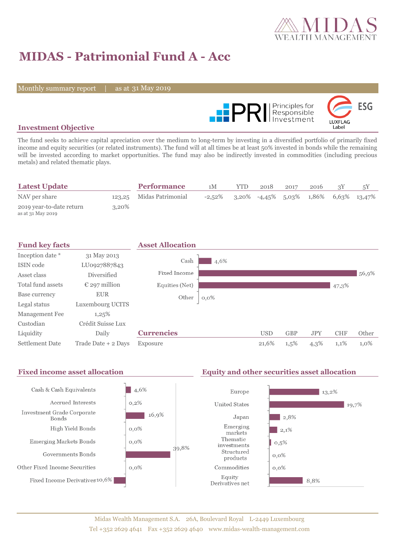

# **MIDAS - Patrimonial Fund A - Acc**

Monthly summary report | as at 31 May 2019



### **Investment Objective**

The fund seeks to achieve capital apreciation over the medium to long-term by investing in a diversified portfolio of primarily fixed income and equity securities (or related instruments). The fund will at all times be at least 50% invested in bonds while the remaining will be invested according to market opportunities. The fund may also be indirectly invested in commodities (including precious metals) and related thematic plays.

| <b>Latest Update</b>                          |          | <b>Performance</b>       | 1М        | YTD | 2018                                     | 2017 | 2016 |  |
|-----------------------------------------------|----------|--------------------------|-----------|-----|------------------------------------------|------|------|--|
| NAV per share                                 |          | 123,25 Midas Patrimonial | $-2.52\%$ |     | $3,20\%$ -4,45% 5,03% 1,86% 6,63% 13,47% |      |      |  |
| 2019 year-to-date return<br>as at 31 May 2019 | $3,20\%$ |                          |           |     |                                          |      |      |  |

| <b>Fund key facts</b>  |                        | <b>Asset Allocation</b> |         |            |            |            |            |       |
|------------------------|------------------------|-------------------------|---------|------------|------------|------------|------------|-------|
| Inception date *       | 31 May 2013            |                         |         |            |            |            |            |       |
| ISIN code              | LU0927887843           | Cash                    | 4,6%    |            |            |            |            |       |
| Asset class            | Diversified            | Fixed Income            |         |            |            |            |            | 56,9% |
| Total fund assets      | $\epsilon$ 297 million | Equities (Net)          |         |            |            |            | 47,3%      |       |
| Base currency          | <b>EUR</b>             | Other                   | $0,0\%$ |            |            |            |            |       |
| Legal status           | Luxembourg UCITS       |                         |         |            |            |            |            |       |
| Management Fee         | 1,25%                  |                         |         |            |            |            |            |       |
| Custodian              | Crédit Suisse Lux      |                         |         |            |            |            |            |       |
| Liquidity              | Daily                  | <b>Currencies</b>       |         | <b>USD</b> | <b>GBP</b> | <b>JPY</b> | <b>CHF</b> | Other |
| <b>Settlement Date</b> | Trade Date + 2 Days    | Exposure                |         | 21,6%      | $1,5\%$    | $4,3\%$    | 1,1%       | 1,0%  |

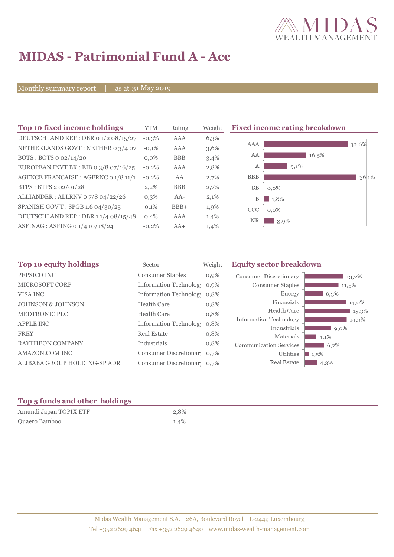

# **MIDAS - Patrimonial Fund A - Acc**

Monthly summary report | as at 31 May 2019

| Top 10 fixed income holdings            | <b>YTM</b> | Rating     | Weight | <b>Fixed income rating breakdown</b> |
|-----------------------------------------|------------|------------|--------|--------------------------------------|
| DEUTSCHLAND REP : DBR 0 1/2 08/15/27    | $-0,3\%$   | <b>AAA</b> | 6,3%   |                                      |
| NETHERLANDS GOVT: NETHER 0 3/4 07       | $-0,1%$    | AAA        | 3,6%   | AAA<br>32,6%                         |
| BOTS: BOTS 0 02/14/20                   | $0.0\%$    | <b>BBB</b> | 3,4%   | AA<br>16,5%                          |
| EUROPEAN INVT BK : EIB o $3/8$ 07/16/25 | $-0,2%$    | AAA        | 2,8%   | $9,1\%$<br>А                         |
| AGENCE FRANCAISE : AGFRNC 0 1/8 11/1!   | $-0,2%$    | AA         | 2,7%   | <b>BBB</b><br>36,1%                  |
| BTPS: BTPS 2 02/01/28                   | 2,2%       | <b>BBB</b> | 2,7%   | BB<br>$0.0\%$                        |
| ALLIANDER: ALLRNV 07/8 04/22/26         | $0,3\%$    | $AA-$      | 2,1%   | 1,8%<br>В                            |
| SPANISH GOV'T: SPGB 1.6 04/30/25        | 0,1%       | $BBB+$     | 1,9%   | <b>CCC</b><br>$0,0\%$                |
| DEUTSCHLAND REP: DBR 11/4 08/15/48      | 0,4%       | AAA        | 1,4%   | <b>NR</b><br>3,9%                    |
| ASFINAG : ASFING 0 1/4 10/18/24         | $-0,2%$    | $AA+$      | 1,4%   |                                      |
|                                         |            |            |        |                                      |

| Top 10 equity holdings<br>Sector |                            | Weight  | <b>Equity sector breakdown</b>        |                    |
|----------------------------------|----------------------------|---------|---------------------------------------|--------------------|
| PEPSICO INC                      | <b>Consumer Staples</b>    | $0,9\%$ | <b>Consumer Discretionary</b>         | 13,2%              |
| <b>MICROSOFT CORP</b>            | Information Technolog 0,9% |         | Consumer Staples                      | $11,5\%$           |
| VISA INC                         | Information Technolog 0,8% |         | Energy                                | 6,3%               |
| <b>JOHNSON &amp; JOHNSON</b>     | <b>Health Care</b>         | 0,8%    | Financials                            | 14,0%              |
| <b>MEDTRONIC PLC</b>             | <b>Health Care</b>         | 0,8%    | Health Care                           | $15.3\%$           |
| <b>APPLE INC</b>                 | Information Technolog 0.8% |         | Information Technology<br>Industrials | 14,3%              |
| <b>FREY</b>                      | <b>Real Estate</b>         | 0,8%    | Materials                             | $9,0\%$<br>$4,1\%$ |
| <b>RAYTHEON COMPANY</b>          | Industrials                | 0,8%    | <b>Communication Services</b>         | 6,7%               |
| AMAZON.COM INC                   | Consumer Discretionar 0,7% |         | Utilities                             | $1,5\%$            |
| ALIBABA GROUP HOLDING-SP ADR     | Consumer Discretionar 0,7% |         | Real Estate                           | 4,3%               |

### **Top 5 funds and other holdings**

| Amundi Japan TOPIX ETF | 2,8% |
|------------------------|------|
| Quaero Bamboo          | 1,4% |